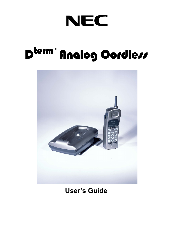## NEC

# D<sup>term®</sup> Analog Gordless



### **User's Guide**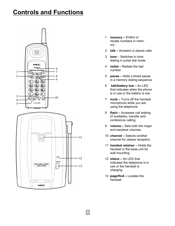#### **Controls and Functions**





- 1 **memory –** Enters or recalls numbers in memory.
- 2 **talk –** Answers or places calls.
- 3 **tone** Switches to tone dialing in pulse dial mode.
- 4 **redial –** Redials the last number.
- 5 **pause –** Adds a timed pause in a memory dialing sequence.
- 6 **talk/battery low –** An LED that indicates when the phone is in use or the battery is low.
- 7 **mute –** Turns off the handset microphone while you are using the telephone.
- 8 **flash –** Accesses call waiting (if available), transfer and conference calling.
- 9 **volume –** Sets both the ringer and earpiece volumes.
- 10 **channel –** Selects another channel for clearer reception.
- 11 **handset retainer –** Holds the handset in the base unit for wall mounting.
- 12 **status –** An LED that indicates the telephone is in use or the handset is charging.
- 13 **page/find –** Locates the handset.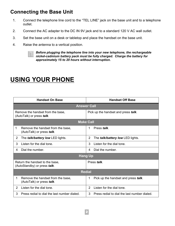#### **Connecting the Base Unit**

- 1. Connect the telephone line cord to the "TEL LINE" jack on the base unit and to a telephone outlet.
- 2. Connect the AC adapter to the DC IN 9V jack and to a standard 120 V AC wall outlet.
- 3. Set the base unit on a desk or tabletop and place the handset on the base unit.
- 4. Raise the antenna to a vertical position.



*Before plugging the telephone line into your new telephone, the rechargeable nickel-cadmium battery pack must be fully charged. Charge the battery for approximately 15 to 20 hours without interruption.*

### **USING YOUR PHONE**

| <b>Handset On Base</b>                                          |                                                                | <b>Handset Off Base</b> |                                              |  |
|-----------------------------------------------------------------|----------------------------------------------------------------|-------------------------|----------------------------------------------|--|
| <b>Answer Call</b>                                              |                                                                |                         |                                              |  |
| Remove the handset from the base,<br>(AutoTalk) or press talk.  |                                                                |                         | Pick up the handset and press talk.          |  |
| <b>Make Call</b>                                                |                                                                |                         |                                              |  |
| 1                                                               | Remove the handset from the base,<br>(AutoTalk) or press talk. | 1                       | Press <i>talk</i> .                          |  |
| $\overline{2}$                                                  | The <i>talk/battery low</i> LED lights.                        | $\overline{2}$          | The <i>talk/battery low</i> LED lights.      |  |
| 3                                                               | Listen for the dial tone.                                      | 3                       | Listen for the dial tone.                    |  |
| 4                                                               | Dial the number.                                               | 4                       | Dial the number.                             |  |
| <b>Hang Up</b>                                                  |                                                                |                         |                                              |  |
| Return the handset to the base,<br>(AutoStandby) or press talk. |                                                                |                         | Press talk.                                  |  |
| <b>Redial</b>                                                   |                                                                |                         |                                              |  |
| 1                                                               | Remove the handset from the base,<br>(AutoTalk) or press talk. | 1                       | Pick up the handset and press talk.          |  |
| 2                                                               | Listen for the dial tone.                                      | $\overline{2}$          | Listen for the dial tone.                    |  |
| 3                                                               | Press redial to dial the last number dialed.                   | 3                       | Press redial to dial the last number dialed. |  |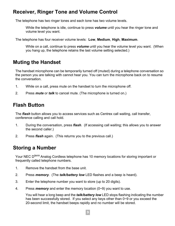#### **Receiver, Ringer Tone and Volume Control**

The telephone has two ringer tones and each tone has two volume levels.

While the telephone is idle, continue to press *volume* until you hear the ringer tone and volume level you want.

The telephone has four receiver volume levels: **Low**, **Medium**, **High**, **Maximum**.

While on a call, continue to press *volume* until you hear the volume level you want. (When you hang up, the telephone retains the last volume setting selected.)

#### **Muting the Handset**

The handset microphone can be temporarily turned off (muted) during a telephone conversation so the person you are talking with cannot hear you. You can turn the microphone back on to resume the conversation.

- 1. While on a call, press mute on the handset to turn the microphone off.
- 2. Press *mute* or *talk* to cancel mute. (The microphone is turned on.)

#### **Flash Button**

The *flash* button allows you to access services such as Centrex call waiting, call transfer, conference calling and call hold.

- 1. During the conversation, press *flash*. (If accessing call waiting; this allows you to answer the second caller.)
- 2. Press *flash* again. (This returns you to the previous call.)

#### **Storing a Number**

Your NEC D*term* Analog Cordless telephone has 10 memory locations for storing important or frequently called telephone numbers.

- 1. Remove the handset from the base unit.
- 2. Press *memory*.(The *talk/battery low* LED flashes and a beep is heard).
- 3. Enter the telephone number you want to store (up to 20 digits).
- 4. Press *memory* and enter the memory location (0~9) you want to use.

You will hear a long beep and the *talk/battery low* LED stops flashing indicating the number has been successfully stored. If you select any keys other than 0~9 or you exceed the 20-second limit, the handset beeps rapidly and no number will be stored.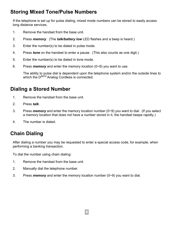#### **Storing Mixed Tone/Pulse Numbers**

If the telephone is set up for pulse dialing, mixed mode numbers can be stored to easily access long distance services.

- 1. Remove the handset from the base unit.
- 2. Press *memory*. (The *talk/battery low* LED flashes and a beep is heard.)
- 3. Enter the number(s) to be dialed in pulse mode.
- 4. Press *tone* on the handset to enter a pause. (This also counts as one digit.)
- 5. Enter the number(s) to be dialed in tone mode.
- 6. Press *memory* and enter the memory location (0~9) you want to use.

The ability to pulse dial is dependent upon the telephone system and/or the outside lines to which the D*term* Analog Cordless is connected.

#### **Dialing a Stored Number**

- 1. Remove the handset from the base unit.
- 2. Press *talk*.
- 3. Press *memory* and enter the memory location number (0~9) you want to dial. (If you select a memory location that does not have a number stored in it, the handset beeps rapidly.)
- 4. The number is dialed.

#### **Chain Dialing**

After dialing a number you may be requested to enter a special access code, for example, when performing a banking transaction.

4

To dial the number using chain dialing:

- 1. Remove the handset from the base unit.
- 2. Manually dial the telephone number.
- 3. Press *memory* and enter the memory location number (0~9) you want to dial.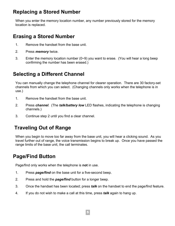#### **Replacing a Stored Number**

When you enter the memory location number, any number previously stored for the memory location is replaced.

#### **Erasing a Stored Number**

- 1. Remove the handset from the base unit.
- 2. Press *memory* twice.
- 3. Enter the memory location number (0~9) you want to erase. (You will hear a long beep confirming the number has been erased.)

#### **Selecting a Different Channel**

You can manually change the telephone channel for clearer operation. There are 30 factory-set channels from which you can select. (Changing channels only works when the telephone is in use.)

- 1. Remove the handset from the base unit.
- 2. Press *channel.* (The *talk/battery low* LED flashes, indicating the telephone is changing channels.)
- 3. Continue step 2 until you find a clear channel.

#### **Traveling Out of Range**

When you begin to move too far away from the base unit, you will hear a clicking sound. As you travel further out of range, the voice transmission begins to break up. Once you have passed the range limits of the base unit, the call terminates.

#### **Page/Find Button**

Page/find only works when the telephone is **not** in use.

- 1. Press *page/find* on the base unit for a five-second beep.
- 2. Press and hold the *page/find* button for a longer beep.
- 3. Once the handset has been located; press *talk* on the handset to end the page/find feature.
- 4. If you do not wish to make a call at this time, press *talk* again to hang up.

5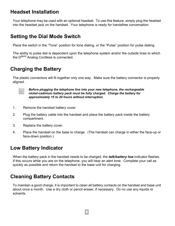#### **Headset Installation**

Your telephone may be used with an optional headset. To use this feature, simply plug the headset into the headset jack on the handset. Your telephone is ready for handsfree conversation.

#### **Setting the Dial Mode Switch**

Place the switch in the "Tone" position for tone dialing, or the "Pulse" position for pulse dialing.

The ability to pulse dial is dependent upon the telephone system and/or the outside lines to which the D*term* Analog Cordless is connected.

#### **Charging the Battery**

The plastic connectors will fit together only one way. Make sure the battery connector is properly aligned.



*Before plugging the telephone line into your new telephone, the rechargeable nickel-cadmium battery pack must be fully charged. Charge the battery for approximately 15 to 20 hours without interruption.*

- 1. Remove the handset battery cover.
- 2. Plug the battery cable into the handset and place the battery pack inside the battery compartment.
- 3. Replace the battery cover.
- 4. Place the handset on the base to charge. (The handset can charge in either the face-up or face-down position.)

#### **Low Battery Indicator**

When the battery pack in the handset needs to be charged, the *talk/battery low* indicator flashes. If this occurs while you are on the telephone, you will hear an alert tone. Complete your call as quickly as possible and return the handset to the base unit for charging.

#### **Cleaning Battery Contacts**

To maintain a good charge, it is important to clean all battery contacts on the handset and base unit about once a month. Use a dry cloth or pencil eraser, if necessary. Do no use any liquids or solvents.

6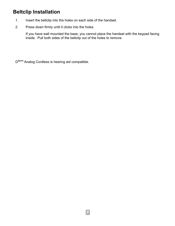#### **Beltclip Installation**

- 1. Insert the beltclip into the holes on each side of the handset.
- 2. Press down firmly until it clicks into the holes.

If you have wall mounted the base, you cannot place the handset with the keypad facing inside. Pull both sides of the beltclip out of the holes to remove.

D*term* Analog Cordless is hearing aid compatible.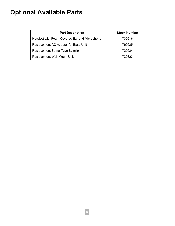#### **Optional Available Parts**

| <b>Part Description</b>                      | <b>Stock Number</b> |
|----------------------------------------------|---------------------|
| Headset with Foam Covered Ear and Microphone | 730616              |
| Replacement AC Adapter for Base Unit         | 760625              |
| Replacement String-Type Beltclip             | 730624              |
| <b>Replacement Wall Mount Unit</b>           | 730623              |